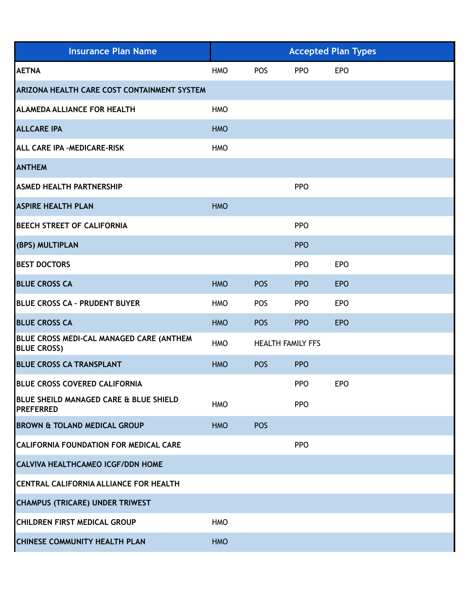| <b>Insurance Plan Name</b>                                     | <b>Accepted Plan Types</b> |                          |            |            |
|----------------------------------------------------------------|----------------------------|--------------------------|------------|------------|
| <b>AETNA</b>                                                   | <b>HMO</b>                 | <b>POS</b>               | <b>PPO</b> | <b>EPO</b> |
| <b>ARIZONA HEALTH CARE COST CONTAINMENT SYSTEM</b>             |                            |                          |            |            |
| <b>ALAMEDA ALLIANCE FOR HEALTH</b>                             | <b>HMO</b>                 |                          |            |            |
| <b>ALLCARE IPA</b>                                             | <b>HMO</b>                 |                          |            |            |
| ALL CARE IPA - MEDICARE-RISK                                   | <b>HMO</b>                 |                          |            |            |
| <b>ANTHEM</b>                                                  |                            |                          |            |            |
| <b>ASMED HEALTH PARTNERSHIP</b>                                |                            |                          | <b>PPO</b> |            |
| <b>ASPIRE HEALTH PLAN</b>                                      | <b>HMO</b>                 |                          |            |            |
| <b>BEECH STREET OF CALIFORNIA</b>                              |                            |                          | <b>PPO</b> |            |
| (BPS) MULTIPLAN                                                |                            |                          | <b>PPO</b> |            |
| <b>BEST DOCTORS</b>                                            |                            |                          | <b>PPO</b> | <b>EPO</b> |
| <b>BLUE CROSS CA</b>                                           | <b>HMO</b>                 | <b>POS</b>               | <b>PPO</b> | <b>EPO</b> |
| <b>BLUE CROSS CA - PRUDENT BUYER</b>                           | <b>HMO</b>                 | POS                      | <b>PPO</b> | <b>EPO</b> |
| <b>BLUE CROSS CA</b>                                           | <b>HMO</b>                 | <b>POS</b>               | <b>PPO</b> | <b>EPO</b> |
| BLUE CROSS MEDI-CAL MANAGED CARE (ANTHEM<br><b>BLUE CROSS)</b> | <b>HMO</b>                 | <b>HEALTH FAMILY FFS</b> |            |            |
| <b>BLUE CROSS CA TRANSPLANT</b>                                | <b>HMO</b>                 | POS                      | <b>PPO</b> |            |
| <b>BLUE CROSS COVERED CALIFORNIA</b>                           |                            |                          | <b>PPO</b> | <b>EPO</b> |
| BLUE SHEILD MANAGED CARE & BLUE SHIELD<br><b>PREFERRED</b>     | <b>HMO</b>                 |                          | <b>PPO</b> |            |
| <b>BROWN &amp; TOLAND MEDICAL GROUP</b>                        | <b>HMO</b>                 | <b>POS</b>               |            |            |
| <b>CALIFORNIA FOUNDATION FOR MEDICAL CARE</b>                  |                            |                          | <b>PPO</b> |            |
| <b>CALVIVA HEALTHCAMEO ICGF/DDN HOME</b>                       |                            |                          |            |            |
| CENTRAL CALIFORNIA ALLIANCE FOR HEALTH                         |                            |                          |            |            |
| <b>CHAMPUS (TRICARE) UNDER TRIWEST</b>                         |                            |                          |            |            |
| <b>CHILDREN FIRST MEDICAL GROUP</b>                            | <b>HMO</b>                 |                          |            |            |
| <b>CHINESE COMMUNITY HEALTH PLAN</b>                           | <b>HMO</b>                 |                          |            |            |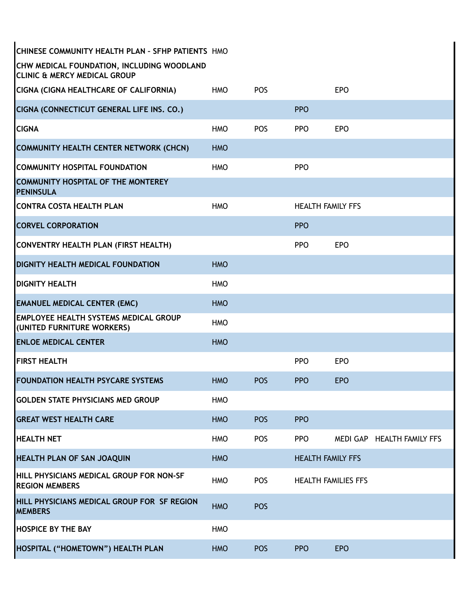| CHINESE COMMUNITY HEALTH PLAN - SFHP PATIENTS HMO                                     |            |            |                            |            |                          |
|---------------------------------------------------------------------------------------|------------|------------|----------------------------|------------|--------------------------|
| CHW MEDICAL FOUNDATION, INCLUDING WOODLAND<br><b>CLINIC &amp; MERCY MEDICAL GROUP</b> |            |            |                            |            |                          |
| <b>CIGNA (CIGNA HEALTHCARE OF CALIFORNIA)</b>                                         | <b>HMO</b> | <b>POS</b> |                            | <b>EPO</b> |                          |
| CIGNA (CONNECTICUT GENERAL LIFE INS. CO.)                                             |            |            | <b>PPO</b>                 |            |                          |
| <b>CIGNA</b>                                                                          | <b>HMO</b> | POS        | <b>PPO</b>                 | <b>EPO</b> |                          |
| <b>COMMUNITY HEALTH CENTER NETWORK (CHCN)</b>                                         | <b>HMO</b> |            |                            |            |                          |
| <b>COMMUNITY HOSPITAL FOUNDATION</b>                                                  | <b>HMO</b> |            | <b>PPO</b>                 |            |                          |
| <b>COMMUNITY HOSPITAL OF THE MONTEREY</b><br><b>PENINSULA</b>                         |            |            |                            |            |                          |
| <b>CONTRA COSTA HEALTH PLAN</b>                                                       | <b>HMO</b> |            | <b>HEALTH FAMILY FFS</b>   |            |                          |
| <b>CORVEL CORPORATION</b>                                                             |            |            | <b>PPO</b>                 |            |                          |
| <b>CONVENTRY HEALTH PLAN (FIRST HEALTH)</b>                                           |            |            | <b>PPO</b>                 | <b>EPO</b> |                          |
| <b>DIGNITY HEALTH MEDICAL FOUNDATION</b>                                              | <b>HMO</b> |            |                            |            |                          |
| <b>DIGNITY HEALTH</b>                                                                 | <b>HMO</b> |            |                            |            |                          |
| <b>EMANUEL MEDICAL CENTER (EMC)</b>                                                   | <b>HMO</b> |            |                            |            |                          |
| <b>EMPLOYEE HEALTH SYSTEMS MEDICAL GROUP</b><br>(UNITED FURNITURE WORKERS)            | <b>HMO</b> |            |                            |            |                          |
| <b>ENLOE MEDICAL CENTER</b>                                                           | <b>HMO</b> |            |                            |            |                          |
| <b>FIRST HEALTH</b>                                                                   |            |            | <b>PPO</b>                 | <b>EPO</b> |                          |
| <b>FOUNDATION HEALTH PSYCARE SYSTEMS</b>                                              | <b>HMO</b> | <b>POS</b> | <b>PPO</b>                 | <b>EPO</b> |                          |
| <b>GOLDEN STATE PHYSICIANS MED GROUP</b>                                              | <b>HMO</b> |            |                            |            |                          |
| <b>GREAT WEST HEALTH CARE</b>                                                         | <b>HMO</b> | <b>POS</b> | <b>PPO</b>                 |            |                          |
| <b>HEALTH NET</b>                                                                     | <b>HMO</b> | POS        | <b>PPO</b>                 | MEDI GAP   | <b>HEALTH FAMILY FFS</b> |
| HEALTH PLAN OF SAN JOAQUIN                                                            | <b>HMO</b> |            | <b>HEALTH FAMILY FFS</b>   |            |                          |
| HILL PHYSICIANS MEDICAL GROUP FOR NON-SF<br><b>REGION MEMBERS</b>                     | <b>HMO</b> | POS        | <b>HEALTH FAMILIES FFS</b> |            |                          |
| HILL PHYSICIANS MEDICAL GROUP FOR SF REGION<br><b>MEMBERS</b>                         | <b>HMO</b> | POS        |                            |            |                          |
| <b>HOSPICE BY THE BAY</b>                                                             | <b>HMO</b> |            |                            |            |                          |
| HOSPITAL ("HOMETOWN") HEALTH PLAN                                                     | <b>HMO</b> | <b>POS</b> | <b>PPO</b>                 | <b>EPO</b> |                          |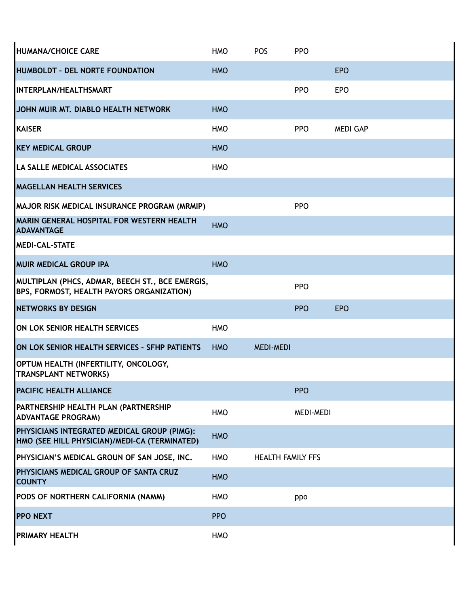| HUMANA/CHOICE CARE                                                                           | <b>HMO</b> | <b>POS</b>               | <b>PPO</b>       |                 |
|----------------------------------------------------------------------------------------------|------------|--------------------------|------------------|-----------------|
| HUMBOLDT - DEL NORTE FOUNDATION                                                              | <b>HMO</b> |                          |                  | <b>EPO</b>      |
| <b>INTERPLAN/HEALTHSMART</b>                                                                 |            |                          | <b>PPO</b>       | <b>EPO</b>      |
| JOHN MUIR MT. DIABLO HEALTH NETWORK                                                          | <b>HMO</b> |                          |                  |                 |
| <b>KAISER</b>                                                                                | <b>HMO</b> |                          | <b>PPO</b>       | <b>MEDI GAP</b> |
| <b>KEY MEDICAL GROUP</b>                                                                     | <b>HMO</b> |                          |                  |                 |
| <b>LA SALLE MEDICAL ASSOCIATES</b>                                                           | <b>HMO</b> |                          |                  |                 |
| <b>MAGELLAN HEALTH SERVICES</b>                                                              |            |                          |                  |                 |
| MAJOR RISK MEDICAL INSURANCE PROGRAM (MRMIP)                                                 |            |                          | <b>PPO</b>       |                 |
| MARIN GENERAL HOSPITAL FOR WESTERN HEALTH<br><b>ADAVANTAGE</b>                               | <b>HMO</b> |                          |                  |                 |
| <b>MEDI-CAL-STATE</b>                                                                        |            |                          |                  |                 |
| <b>MUIR MEDICAL GROUP IPA</b>                                                                | <b>HMO</b> |                          |                  |                 |
| MULTIPLAN (PHCS, ADMAR, BEECH ST., BCE EMERGIS,<br>BPS, FORMOST, HEALTH PAYORS ORGANIZATION) |            |                          | <b>PPO</b>       |                 |
| <b>INETWORKS BY DESIGN</b>                                                                   |            |                          | <b>PPO</b>       | <b>EPO</b>      |
| ON LOK SENIOR HEALTH SERVICES                                                                | <b>HMO</b> |                          |                  |                 |
| ON LOK SENIOR HEALTH SERVICES - SFHP PATIENTS                                                | <b>HMO</b> | <b>MEDI-MEDI</b>         |                  |                 |
| OPTUM HEALTH (INFERTILITY, ONCOLOGY,<br><b>TRANSPLANT NETWORKS)</b>                          |            |                          |                  |                 |
| <b>PACIFIC HEALTH ALLIANCE</b>                                                               |            |                          | <b>PPO</b>       |                 |
| PARTNERSHIP HEALTH PLAN (PARTNERSHIP<br><b>ADVANTAGE PROGRAM)</b>                            | <b>HMO</b> |                          | <b>MEDI-MEDI</b> |                 |
| PHYSICIANS INTEGRATED MEDICAL GROUP (PIMG):<br>HMO (SEE HILL PHYSICIAN)/MEDI-CA (TERMINATED) | <b>HMO</b> |                          |                  |                 |
| PHYSICIAN'S MEDICAL GROUN OF SAN JOSE, INC.                                                  | <b>HMO</b> | <b>HEALTH FAMILY FFS</b> |                  |                 |
| PHYSICIANS MEDICAL GROUP OF SANTA CRUZ<br><b>COUNTY</b>                                      | <b>HMO</b> |                          |                  |                 |
| PODS OF NORTHERN CALIFORNIA (NAMM)                                                           | <b>HMO</b> |                          | ppo              |                 |
| <b>PPO NEXT</b>                                                                              | <b>PPO</b> |                          |                  |                 |
| <b>PRIMARY HEALTH</b>                                                                        | <b>HMO</b> |                          |                  |                 |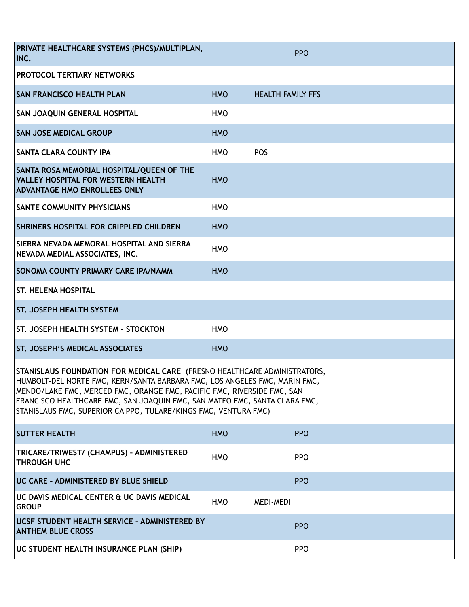| PRIVATE HEALTHCARE SYSTEMS (PHCS)/MULTIPLAN,<br>INC.                                                                                                                                                                                                                                                                                                                                |            |                          | <b>PPO</b> |  |  |  |
|-------------------------------------------------------------------------------------------------------------------------------------------------------------------------------------------------------------------------------------------------------------------------------------------------------------------------------------------------------------------------------------|------------|--------------------------|------------|--|--|--|
| <b>PROTOCOL TERTIARY NETWORKS</b>                                                                                                                                                                                                                                                                                                                                                   |            |                          |            |  |  |  |
| <b>SAN FRANCISCO HEALTH PLAN</b>                                                                                                                                                                                                                                                                                                                                                    | <b>HMO</b> | <b>HEALTH FAMILY FFS</b> |            |  |  |  |
| <b>SAN JOAQUIN GENERAL HOSPITAL</b>                                                                                                                                                                                                                                                                                                                                                 | <b>HMO</b> |                          |            |  |  |  |
| <b>SAN JOSE MEDICAL GROUP</b>                                                                                                                                                                                                                                                                                                                                                       | <b>HMO</b> |                          |            |  |  |  |
| <b>SANTA CLARA COUNTY IPA</b>                                                                                                                                                                                                                                                                                                                                                       | <b>HMO</b> | POS                      |            |  |  |  |
| SANTA ROSA MEMORIAL HOSPITAL/QUEEN OF THE<br><b>VALLEY HOSPITAL FOR WESTERN HEALTH</b><br><b>ADVANTAGE HMO ENROLLEES ONLY</b>                                                                                                                                                                                                                                                       | <b>HMO</b> |                          |            |  |  |  |
| <b>SANTE COMMUNITY PHYSICIANS</b>                                                                                                                                                                                                                                                                                                                                                   | <b>HMO</b> |                          |            |  |  |  |
| SHRINERS HOSPITAL FOR CRIPPLED CHILDREN                                                                                                                                                                                                                                                                                                                                             | <b>HMO</b> |                          |            |  |  |  |
| ISIERRA NEVADA MEMORAL HOSPITAL AND SIERRA<br>NEVADA MEDIAL ASSOCIATES, INC.                                                                                                                                                                                                                                                                                                        | <b>HMO</b> |                          |            |  |  |  |
| <b>SONOMA COUNTY PRIMARY CARE IPA/NAMM</b>                                                                                                                                                                                                                                                                                                                                          | <b>HMO</b> |                          |            |  |  |  |
| <b>ST. HELENA HOSPITAL</b>                                                                                                                                                                                                                                                                                                                                                          |            |                          |            |  |  |  |
| <b>ST. JOSEPH HEALTH SYSTEM</b>                                                                                                                                                                                                                                                                                                                                                     |            |                          |            |  |  |  |
| <b>ST. JOSEPH HEALTH SYSTEM - STOCKTON</b>                                                                                                                                                                                                                                                                                                                                          | <b>HMO</b> |                          |            |  |  |  |
| <b>ST. JOSEPH'S MEDICAL ASSOCIATES</b>                                                                                                                                                                                                                                                                                                                                              | <b>HMO</b> |                          |            |  |  |  |
| STANISLAUS FOUNDATION FOR MEDICAL CARE (FRESNO HEALTHCARE ADMINISTRATORS,<br>HUMBOLT-DEL NORTE FMC, KERN/SANTA BARBARA FMC, LOS ANGELES FMC, MARIN FMC,<br>MENDO/LAKE FMC, MERCED FMC, ORANGE FMC, PACIFIC FMC, RIVERSIDE FMC, SAN<br>FRANCISCO HEALTHCARE FMC, SAN JOAQUIN FMC, SAN MATEO FMC, SANTA CLARA FMC,<br>STANISLAUS FMC, SUPERIOR CA PPO, TULARE/KINGS FMC, VENTURA FMC) |            |                          |            |  |  |  |
| <b>SUTTER HEALTH</b>                                                                                                                                                                                                                                                                                                                                                                | <b>HMO</b> |                          | <b>PPO</b> |  |  |  |
| TRICARE/TRIWEST/ (CHAMPUS) - ADMINISTERED<br><b>THROUGH UHC</b>                                                                                                                                                                                                                                                                                                                     | <b>HMO</b> |                          | <b>PPO</b> |  |  |  |
| UC CARE - ADMINISTERED BY BLUE SHIELD                                                                                                                                                                                                                                                                                                                                               |            |                          | <b>PPO</b> |  |  |  |
| UC DAVIS MEDICAL CENTER & UC DAVIS MEDICAL<br><b>GROUP</b>                                                                                                                                                                                                                                                                                                                          | <b>HMO</b> | <b>MEDI-MEDI</b>         |            |  |  |  |
| UCSF STUDENT HEALTH SERVICE - ADMINISTERED BY<br><b>ANTHEM BLUE CROSS</b>                                                                                                                                                                                                                                                                                                           |            |                          | <b>PPO</b> |  |  |  |
| UC STUDENT HEALTH INSURANCE PLAN (SHIP)                                                                                                                                                                                                                                                                                                                                             |            |                          | <b>PPO</b> |  |  |  |